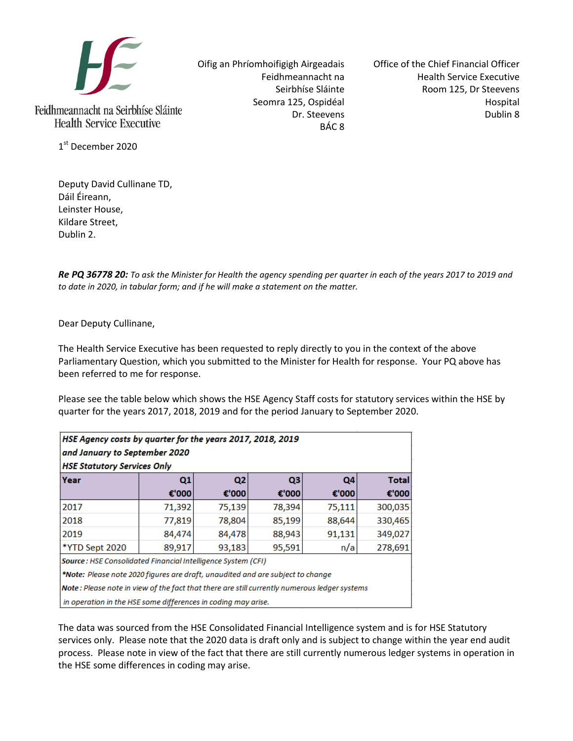

Feidhmeannacht na Seirbhíse Sláinte **Health Service Executive** 

1st December 2020

Deputy David Cullinane TD, Dáil Éireann, Leinster House, Kildare Street, Dublin 2.

Oifig an Phríomhoifigigh Airgeadais Feidhmeannacht na Seirbhíse Sláinte Seomra 125, Ospidéal Dr. Steevens BÁC 8

Office of the Chief Financial Officer Health Service Executive Room 125, Dr Steevens Hospital Dublin 8

*Re PQ 36778 20: To ask the Minister for Health the agency spending per quarter in each of the years 2017 to 2019 and to date in 2020, in tabular form; and if he will make a statement on the matter.*

Dear Deputy Cullinane,

The Health Service Executive has been requested to reply directly to you in the context of the above Parliamentary Question, which you submitted to the Minister for Health for response. Your PQ above has been referred to me for response.

Please see the table below which shows the HSE Agency Staff costs for statutory services within the HSE by quarter for the years 2017, 2018, 2019 and for the period January to September 2020.

| HSE Agency costs by quarter for the years 2017, 2018, 2019<br>and January to September 2020<br><b>HSE Statutory Services Only</b> |                |                |        |        |              |
|-----------------------------------------------------------------------------------------------------------------------------------|----------------|----------------|--------|--------|--------------|
| Year                                                                                                                              | Q <sub>1</sub> | Q <sub>2</sub> | Q3     | Q4     | <b>Total</b> |
|                                                                                                                                   | €'000          | €'000          | €'000  | €'000  | €'000        |
| 2017                                                                                                                              | 71,392         | 75,139         | 78,394 | 75,111 | 300,035      |
| 2018                                                                                                                              | 77,819         | 78,804         | 85,199 | 88,644 | 330,465      |
| 2019                                                                                                                              | 84,474         | 84,478         | 88,943 | 91,131 | 349,027      |
| *YTD Sept 2020                                                                                                                    | 89,917         | 93,183         | 95,591 | n/a    | 278,691      |
| Source : HSE Consolidated Financial Intelligence System (CFI)                                                                     |                |                |        |        |              |
| *Note: Please note 2020 figures are draft, unaudited and are subject to change                                                    |                |                |        |        |              |
| Note: Please note in view of the fact that there are still currently numerous ledger systems                                      |                |                |        |        |              |
| in operation in the HSE some differences in coding may arise.                                                                     |                |                |        |        |              |

The data was sourced from the HSE Consolidated Financial Intelligence system and is for HSE Statutory services only. Please note that the 2020 data is draft only and is subject to change within the year end audit process. Please note in view of the fact that there are still currently numerous ledger systems in operation in the HSE some differences in coding may arise.